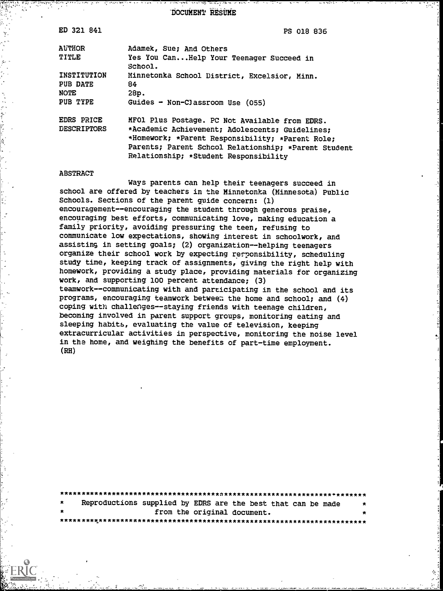DOCUMENT RESUME

| ED 321 841         | PS 018 836                                           |
|--------------------|------------------------------------------------------|
| <b>AUTHOR</b>      | Adamek, Sue; And Others                              |
| TITLE              | Yes You CanHelp Your Teenager Succeed in<br>School.  |
| INSTITUTION        | Minnetonka School District, Excelsior, Minn.         |
| PUB DATE           | 84                                                   |
| <b>NOTE</b>        | 28p.                                                 |
| PUB TYPE           | Guides - Non-Classroom Use $(055)$                   |
| EDRS PRICE         | MFOl Plus Postage. PC Not Available from EDRS.       |
| <b>DESCRIPTORS</b> | *Academic Achievement; Adolescents; Guidelines;      |
|                    | *Homework; *Parent Responsibility; *Parent Role;     |
|                    | Parents; Parent School Relationship; *Parent Student |
|                    | Relationship; *Student Responsibility                |
|                    |                                                      |

#### ABSTRACT

Ways parents can help their teenagers succeed in school are offered by teachers in the Minnetonka (Minnesota) Public Schools. Sections of the parent guide concern: (1) encouragement--encouraging the student through generous praise, encouraging best efforts, communicating love, making education a family priority, avoiding pressuring the teen, refusing to communicate low expectations, showing interest in schoolwork, and assisting in setting goals; (2) organization--helping teenagers organize their school work by expecting responsibility, scheduling study time, keeping track of assignments, giving the right help with homework, providing a study place, providing materials for organizing work, and supporting 100 percent attendance; (3) teamwork--communicating with and participating in the school and its programs, encouraging teamwork between the home and school; and  $(4)$ coping with challenges--staying friends with teenage children, becoming involved in parent support groups, monitoring eating and sleeping habits, evaluating the value of television, keeping extracurricular activities in perspective, monitoring the noise level in the home, and weighing the benefits of part-time employment. (RH)

| $\star$ |  |  |  | Reproductions supplied by EDRS are the best that can be made |  | $\star$ |  |
|---------|--|--|--|--------------------------------------------------------------|--|---------|--|
| $\star$ |  |  |  | from the original document.                                  |  |         |  |
|         |  |  |  |                                                              |  |         |  |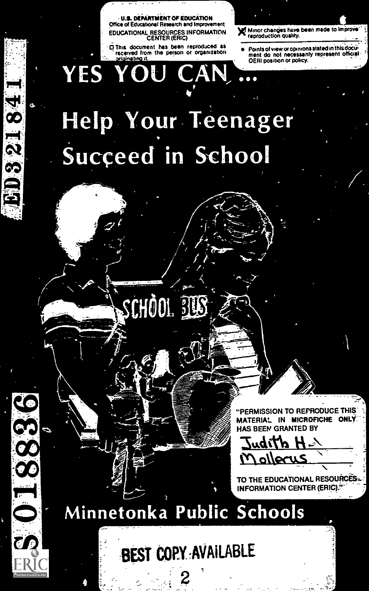U.S. DEPARTMENT OF EDUCATION Office of Educational Research and Improvement EDUCATIONAL RESOURCES INFORMATION<br>CENTER (ERIC)

This document has been reproduced as received from the person or organization YES YOU

x Minor changes have been made to Improve reproduction quality.

Points of view or opinions stated in this document do not necessarily represent official.

# Help Your Teenager Succeed in School

CAN

 $\sim$ 

ED32184

<u>မိ</u>

SCHOOL ELS

"PERMISSION TO REPRODUCE THIS' MATERIAL IN MICROFICHE ONLY HAS BEEN GRANTED BY

H ditbui <u>ollecus</u>

5-1

TO THE EDUCATIONAL RESOURCES. INFORMATION CENTER (ERIC).<sup>1</sup>

Minnetonka Public Schools

 $\geq$ - 5

BEST COPY ,AVAILABLE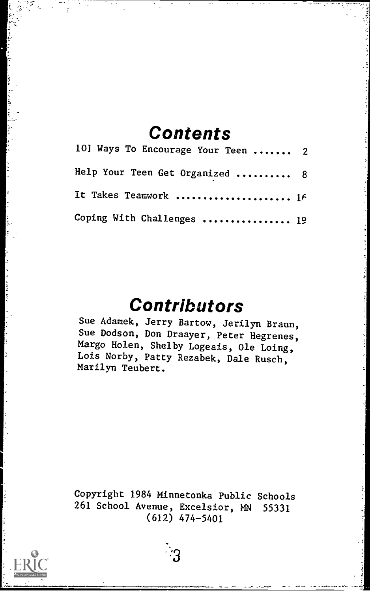# **Contents**

| 101 Ways To Encourage Your Teen  2 |  |
|------------------------------------|--|
| Help Your Teen Get Organized  8    |  |
| It Takes Teamwork  1f              |  |
| Coping With Challenges  19         |  |

# Contributors

Sue Adamek, Jerry Bartow, Jerilyn Braun, Sue Dodson, Don Draayer, Peter Hegrenes, Margo Holen, Shelby Logeais, Ole Loing, Lois Norby, Patty Rezabek, Dale Rusch, Marilyn Teubert.

Copyright 1984 Minnetonka Public Schools 261 School Avenue, Excelsior, MN 55331 (612) 474-5401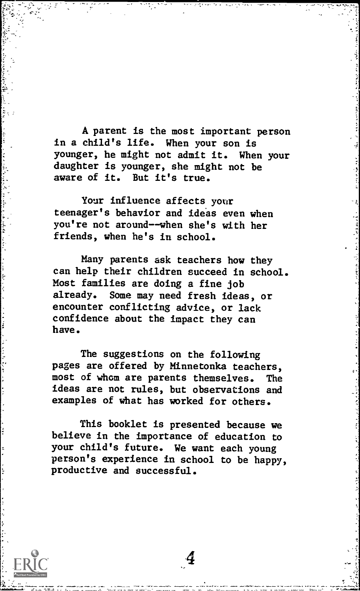A parent is the most important person in a child's life. When your son is younger, he might not admit it. When your daughter is younger, she might not be aware of it. But it's true.

Your influence affects your teenager's behavior and ideas even when you're not around--when she's with her friends, when he's in school.

Many parents ask teachers how they can help their children succeed in school. Most families are doing a fine job already. Some may need fresh ideas, or encounter conflicting advice, or lack confidence about the impact they can have.

The suggestions on the following pages are offered by Minnetonka teachers, most of whom are parents themselves. ideas are not rules, but observations and examples of what has worked for others.

This booklet is presented because we believe in the importance of education to your child's future. We want each young person's experience in school to be happy, productive and successful.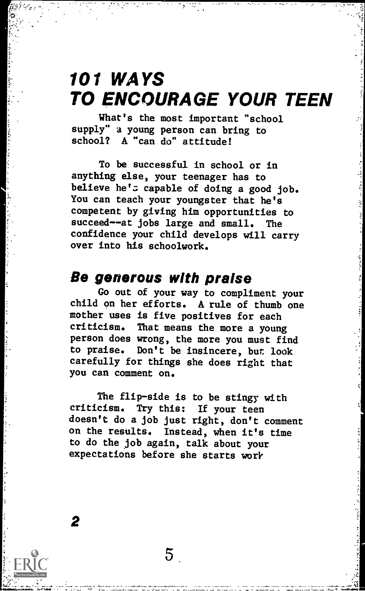# 101 WAYS TO ENCOURAGE YOUR TEEN

What's the most important "school supply" a young person can bring to school? A "can do" attitude!

To be successful in school or in anything else, your teenager has to believe he's capable of doing a good job. You can teach your youngster that he's competent by giving him opportunities to succeed--at jobs large and small. The confidence your child develops will carry over into his schoolwork.

#### Be generous with praise

Go out of your way to compliment your child on her efforts. A rule of thumb one mother uses is five positives for each criticism. That means the more a young person does wrong, the more you must find to praise. Don't be insincere, but look carefully for things she does right that you can comment on.

The flip-side is to be stingy with criticism. Try this: If your teen doesn't do a job just right, don't comment on the results. Instead, when it's time to do the job again, talk about your expectations before she starts work

 $5<sup>1</sup>$ 

1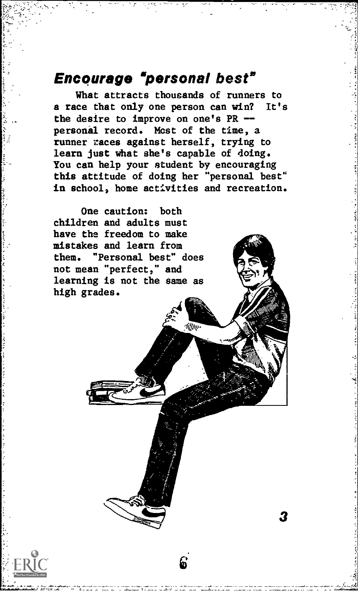# Encourage "personal best"

What attracts thousands of runners to that only one person can win? It's a race that only one person can win? the desire to improve on one's PR - personal record. Most of the time, a runner races against herself, trying to learn just what she's capable of doing. You can help your student by encouraging this attitude of doing her "personal best" in school, home activities and recreation.

3

One caution: both children and adults must have the freedom to make mistakes and learn from them. "Personal best" does not mean "perfect," and learning is not the same as high grades.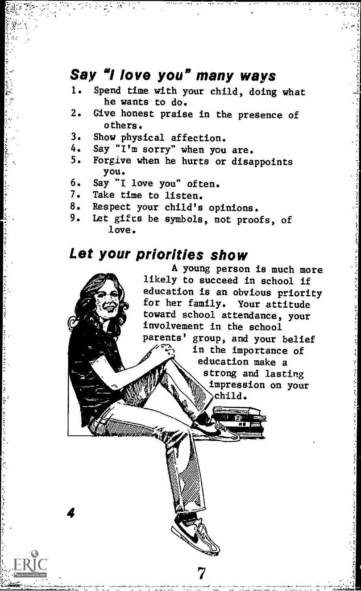# Say "I love you" many ways

- 1. Spend time with your child, doing what he wants to do.
- 2. Give honest praise in the presence of others.
- 3. Show physical affection.<br>4. Say " $T^{\dagger}$ m sorry" when you
- 4. Say " $I^{\dagger}$ m sorry" when you are.<br>5. Forgive when he burts or disc
- 5. Forgive when he hurts or disappoints you.
- 6. Say "I love you" often.<br>7. Take time to listen.
- 7. Take time to listen.<br>8. Respect your child's

4

- 8. Respect your child's opinions.<br>9. Let gifts be symbols, not proo
- Let gifts be symbols, not proofs, of love.

# Let your priorities show

A young person is much more likely to succeed in school if education is an obvious priority for her family. Your attitude toward school attendance, your involvement in the school parents' group, and your belief in the importance of education make a strong and lasting impression on your child.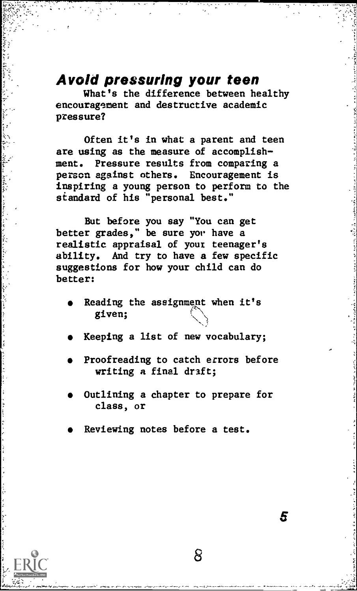#### Avoid pressuring your teen

What's the difference between healthy encouragement and destructive academic pressure?

Often it's in what a parent and teen are using as the measure of accomplishment. Pressure results from comparing a person against others. Encouragement is inspiring a young person to perform to the standard of his "personal best."

But before you say "You can get better grades," be sure yor have a realistic appraisal of your teenager's ability. And try to have a few specific suggestions for how your child can do better:

- Reading the assignment when it's given;
- Keeping a list of new vocabulary;
- Proofreading to catch errors before writing a final draft;
- Outlining a chapter to prepare for class, or

8

5

Reviewing notes before a test.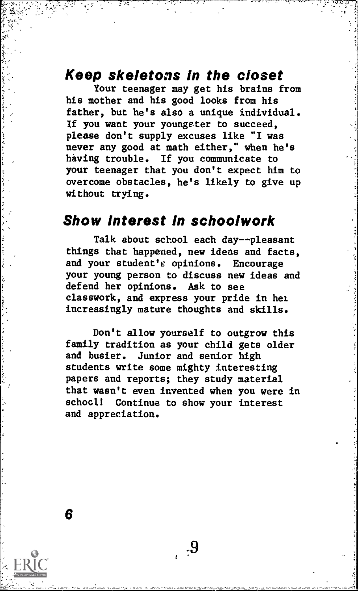## Keep skeletons In the closet

Your teenager may get his brains from his mother and his good looks from his father, but he's also a unique individual. If you want your youngster to succeed, please don't supply excuses like "I was never any good at math either," when he's having trouble. If you communicate to your teenager that you don't expect him to overcome obstacles, he's likely to give up without trying.

#### Show Interest In schoolwork

Talk about school each day--pleasant things that happened, new ideas and facts, and your student's opinions. Encourage your young person to discuss new ideas and defend her opinions. Ask to see classwork, and express your pride in hel increasingly mature thoughts and skills.

Don't allow yourself to outgrow this family tradition as your child gets older and busier. Junior and senior high students write some mighty interesting papers and reports; they study material that wasn't even invented when you were in school! Continue to show your interest and appreciation.

 $.9$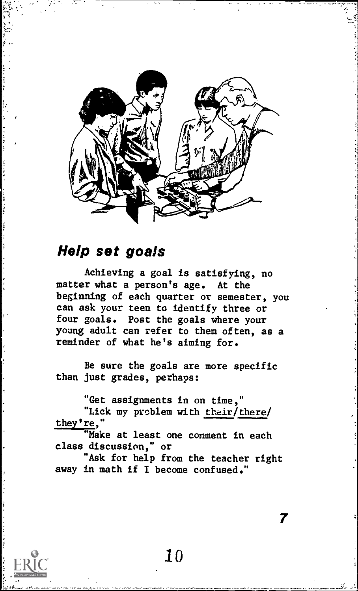

# Help set goals

Achieving a goal is satisfying, no matter what a person's age. At the beginning of each quarter or semester, you can ask your teen to identify three or four goals. Post the goals where your young adult can refer to them often, as a reminder of what he's aiming for.

Be sure the goals are more specific than just grades, perhaps:

"Get assignments in on time,"

"Lick my problem with their/there/ they're,"

"Make at least one comment in each class discussion," or

"Ask for help from the teacher right away in math if I become confused."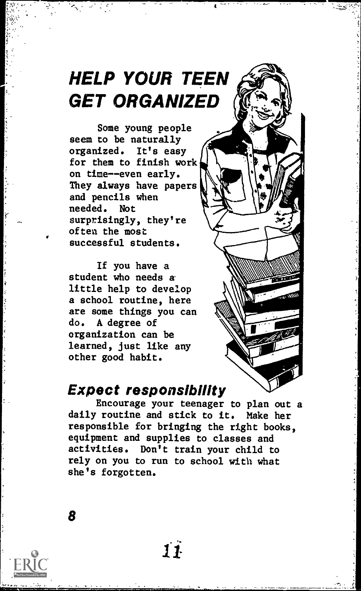# HELP YOUR TEEN GET ORGANIZED

Some young people seem to be naturally organized. It's easy for them to finish work on time--even early. They always have papers and pencils when needed. Not surprisingly, they're often the most successful students.

If you have a student who needs a little help to develop a school routine, here are some things you can do. A degree of organization can be learned, just like any other good habit.

## Expect responsibility

Encourage your teenager to plan out a daily routine and stick to it. Make her responsible for bringing the right books, equipment and supplies to classes and activities. Don't train your child to rely on you to run to school with what she's forgotten.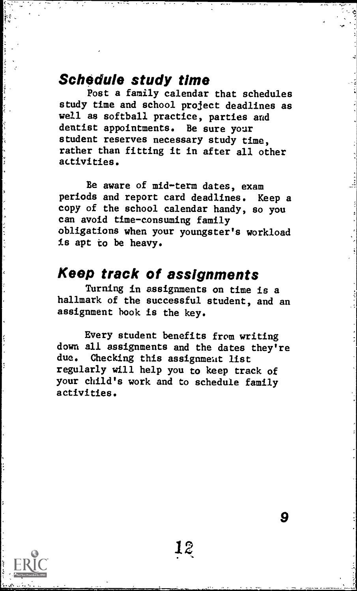# Schedule study time

Post a family calendar that schedules study time and school project deadlines as well as softball practice, parties and dentist appointments. Be sure your student reserves necessary study time, rather than fitting it in after all other activities.

Be aware of mid-term dates, exam periods and report card deadlines. Keep a copy of the school calendar handy, so you can avoid time-consuming family obligations when your youngster's workload is apt to be heavy.

# Keep track of assignments

Turning in assignments on time is a hallmark of the successful student, and an assignment hook is the key.

Every student benefits from writing down all assignments and the dates they're due. Checking this assignment list regularly will help you to keep track of your child's work and to schedule family activities.

12,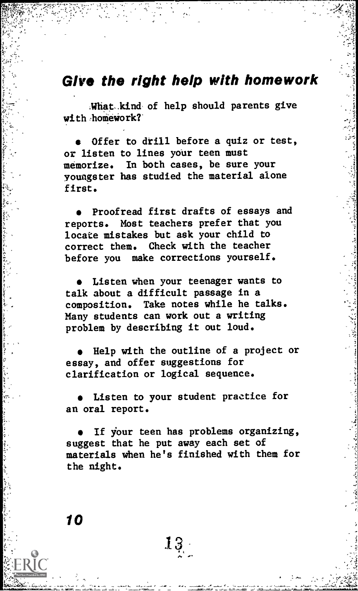## Give the right help with homework

;What-kind, of help should parents give with homework?'

Offer to drill before a quiz or test, or listen to lines your teen must memorize. In both cases, be sure your youngster has studied the material alone first.

Proofread first drafts of essays and reports. Most teachers prefer that you locate mistakes but ask your child to correct them. Check with the teacher before you make corrections yourself.

Listen when your teenager wants to talk about a difficult passage in a composition. Take notes while he talks. Many students can work out a writing problem by describing it out loud.

Help with the outline of a project or essay, and offer suggestions for clarification or logical sequence.

Listen to your student practice for an oral report.

If your teen has problems organizing, suggest that he put away each set of materials when he's finished with them for the night.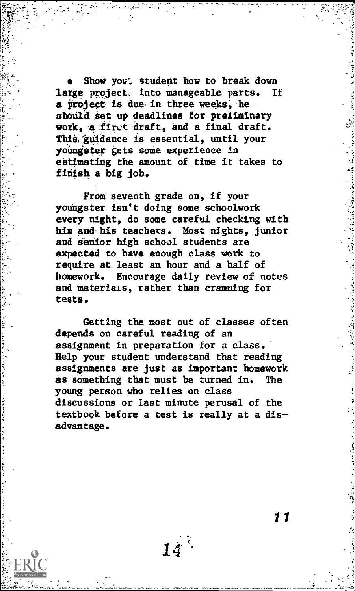Show yout, student how to break down large project: into manageable parts. If a project is due in three weeks, he should set up deadlines for preliminary work, a first draft, and a final draft. This guidance is essential, until your youngster gets some experience in estimating the amount of time it takes to finish a big job.

From seventh grade on, if your youngster isn't doing some schoolwork every night, do some careful checking with him and-his teachers. Most nights, junior and senior high school students are expected to have enough class work to require at least an hour and a half of homework. Encourage daily review of notes and materials, rather than cramming for tests.

Getting the most out of classes often depends on careful reading of an assignment in preparation for a class. Help your student understand that reading assignments are just as important homework as something that must be turned in. The young person who relies on class discussions or last minute perusal of the textbook before a test is really at a dis advantage.

えんかい イン・シスク

こうじょうしゅう ひゃくえん

 $14^{\prime}$ 

 $\overline{\mathbf{11}}$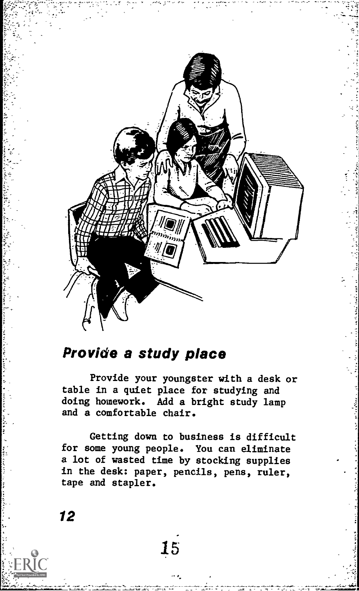

# Provide a study place

Provide your youngster with a desk or table in a quiet place for studying and doing homework. Add a bright study lamp and a comfortable chair.

Getting down to business is difficult for some young people. You can eliminate a lot of wasted time by stocking supplies in the desk: paper, pencils, pens, ruler, tape and stapler.

15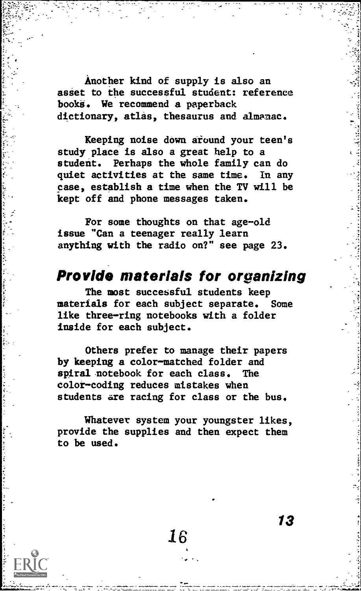Another kind of supply is also an asset to the successful student: reference books. We recommend a paperback dictionary, atlas, thesaurus and almanac.

Keeping noise down around your teen's study place is also a great help to a student. Perhaps the whole family can do quiet activities at the same time. In any case, establish a time when the TV will be kept off and phone messages taken.

For some thoughts on that age-old issue "Can a teenager really learn anything with the radio on?" see page 23.

# Provide materials for organizing

The most successful students keep materials for each subject separate. Some like three-ring notebooks with a folder inside for each subject.

Others prefer to manage their papers by keeping a color-matched folder and spiral notebook for each class. The color-coding reduces mistakes when students are racing for class or the bus.

Whatever system your youngster likes, provide the supplies and then expect them to be used.

16

13

awrit.1:1611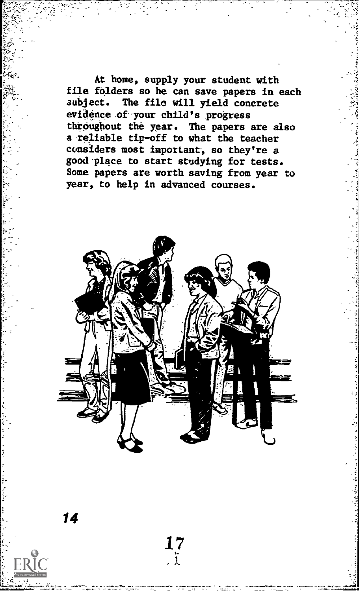At home, supply your student with file folders so he can save papers in each subject. The file will yield concrete evidence of your child's progress throughout the year. The papers are also a reliable tip-off to what the teacher considers most important, so they're a good-place to start studying for tests. Some papers are worth saving from year to year, to help in advanced courses.



17  $\Delta$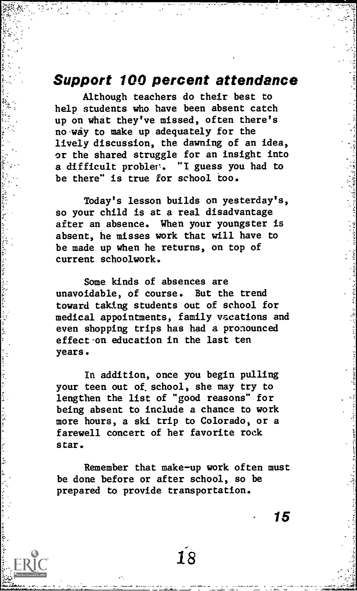#### Support 100 percent attendance

Although teachers do their best to help students who have been absent catch up on what they've missed, often there's no way to make up adequately for the lively discussion, the dawning of an idea, or the shared struggle for an insight into a difficult probler. "I guess you had to be there" is true for school too.

Today's lesson builds on yesterday's, so your child is at a real disadvantage after an absence. When your youngster is absent, he misses work that will have to be made up when he returns, on top of current schoolwork.

Some kinds of absences are unavoidable, of course. But the trend toward taking students out of school for medical appointments, family vacations and even shopping trips has had a pronounced effect on education in the last ten years.

In addition, once you begin pulling your teen out of, school, she may try to lengthen the list of "good reasons" for being absent to include a chance to work more hours, a ski trip to Colorado, or a farewell concert of her favorite rock star.

Remember that make-up work often must be done before or after school, so be prepared to provide transportation.

18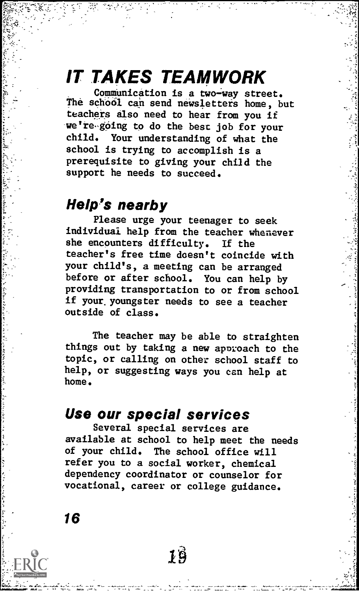# IT TAKES TEAMWORK

Communication is a two-way street. The school can send newsletters home, but teachers also need to hear from you if we're-going to do the best job for your child. Your understanding of what the school is trying to accomplish is a prerequisite to giving your child the support he needs to succeed.

# Help's nearby

Please urge your teenager to seek individual help from the teacher whenever she encounters difficulty. If the teacher's free time doesn't coincide with your child's, a meeting can be arranged before or after school. You can help by providing transportation to or from school if your, youngster needs to see a teacher outside of class.

The teacher may be able to straighten things out by taking a new apnroach to the topic, or calling on other school staff to help, or suggesting ways you can help at home.

# Use our special services

Several special services are available at school to help meet the needs of your child. The school office will refer you to a social worker, chemical dependency coordinator or counselor for vocational, career or college guidance.

 $1\hat{9}$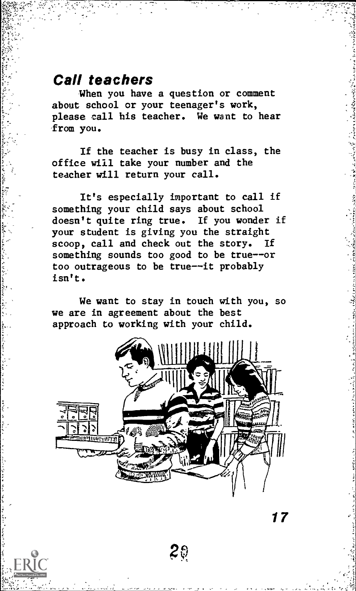# Call teachers

When you have a question or comment about school or your teenager's work, please call his teacher. We want to hear from you.

If the teacher is busy in class, the office will take your number and the teacher will return your call.

It's especially important to call if something your child says about school doesn't quite ring true. If you wonder if your student is giving you the straight scoop, call and check out the story. If something sounds too good to be true--or too outrageous to be true--it probably isn't.

We want to stay in touch with you, so we are in agreement about the best approach to working with your child.



 $20$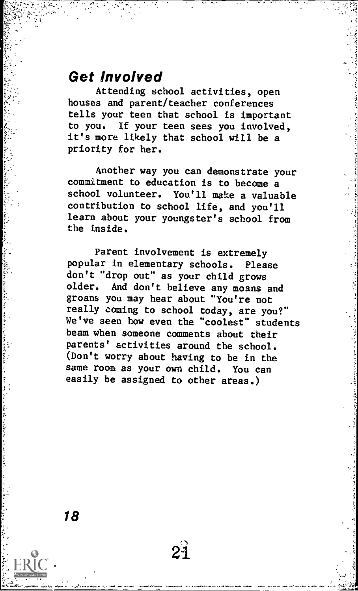## Get involved

Attending school activities, open houses and parent/teacher conferences tells your teen that school is important to you. If your teen sees you involved, it's more likely that school will be a priority for her.

Another way you can demonstrate your commitment to education is to become a school volunteer. You'll make a valuable contribution to school life, and you'll learn about your youngster's school from the inside.

Parent involvement is extremely popular in elementary schools. Please don't "drop out" as your child grows older. And don't believe any moans and groans you may hear about "You're not really coming to school today, are you?" We've seen how even the "coolest" students beam when someone comments about their parents' activities around the school. (Don't worry about having to be in the same room as your own child. You can easily be assigned to other areas.)

21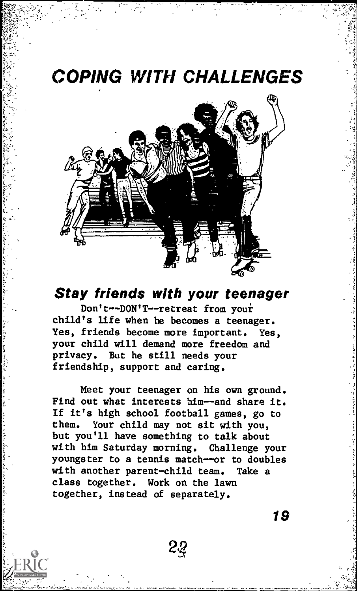# COPING WITH CHALLENGES



# Stay friends with your teenager

Don't--DON'T--retreat from youi child's life when he becomes a teenager. Yes, friends become more important. Yes, your child will demand more freedom and privacy. But he still needs your friendship, support and caring.

Meet your teenager on his own ground. Find out what interests him--and share it. If it's high school football games, go to them. Your child may not sit with you, but you'll have something to talk about with him Saturday morning. Challenge your youngster to a tennis match--or to doubles with another parent-child team. Take a class together. Work on the lawn together, instead of separately.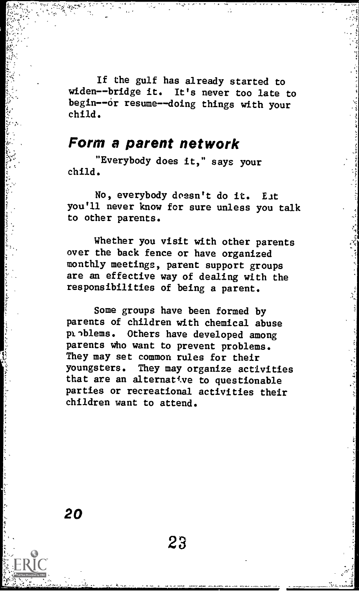If the gulf has already started to widen--bridge it. It's never too late to begin--or resume--doing things with your child.

## Form a parent network

"Everybody does it," says your child.

No, everybody doesn't do it. Eat you'll never know for sure unless you talk to other parents.

Whether you visit with other parents over the back fence or have organized monthly meetings, parent support groups are an effective way of dealing with the responsibilities of being a parent.

Some groups have been formed by parents of children with chemical abuse problems. Others have developed among parents who want to prevent problems. They may set common rules for their youngsters. They may organize activities that are an alternative to questionable parties or recreational activities their children want to attend.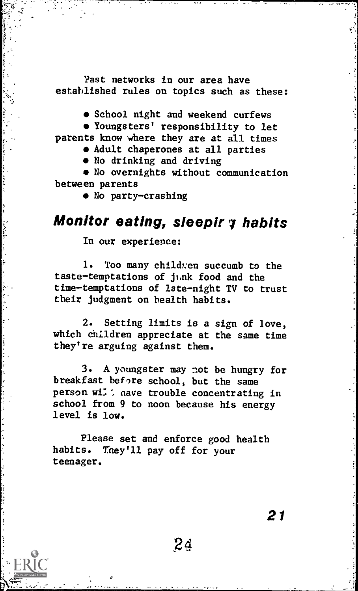'fast networks in our area have established rules on topics such as these:

 $\bullet$  School night and weekend curfews

Youngsters' responsibility to let

parents know where they are at all times

Adult chaperones at all parties

No drinking and driving

No overnights without communication between parents

 $\bullet$  No party-crashing

# Monitor eating, sleepir y habits

In our experience:

1. Too many childzen succumb to the  $t$ aste-temptations of junk food and the time-temptations of late-night TV to trust their judgment on health habits.

2. Setting limits is a sign of love, which children appreciate at the same time they're arguing against them.

3. A youngster may not be hungry for breakfast before school, but the same person will aave trouble concentrating in school from 9 to noon because his energy level is low.

Please set and enforce good health habits. They'll pay off for your teenager.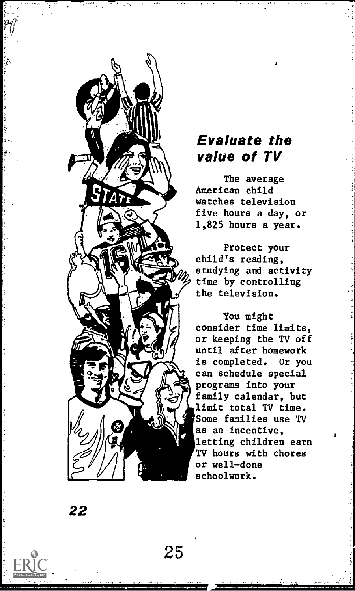

# Evaluate the value of TV

The average American child watches television five hours a day, or 1,825 hours a year.

Protect your child's reading, studying and activity time by controlling the television.

You might consider time limits, or keeping the TV off until after homework is completed. Or you can schedule special programs into your family calendar, but limit total TV time. Some families use TV as an incentive, letting children earn TV hours with chores or well-done schoolwork.

22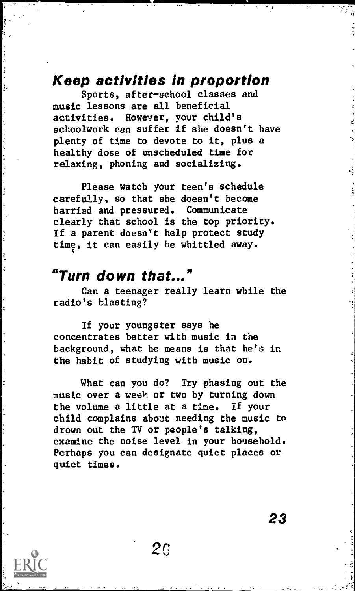# Keep activities in proportion

Sports, after-school classes and music lessons are all beneficial activities. However, your child's schoolwork can suffer if she doesn't have plenty of time to devote to it, plus a healthy dose of unscheduled time for relaxing, phoning and socializing.

Please watch your teen's schedule carefully, so that she doesn't become harried and pressured. Communicate clearly that school is the top priority. If a parent doesn't help protect study time, it can easily be whittled away.

## "Turn down that..."

Can a teenager really learn while the radio's blasting?

If your youngster says he concentrates better with music in the background, what he means is that he's in the habit of studying with music on.

What can you do? Try phasing out the music over a week or two by turning down the volume a little at a time. If your child complains about needing the music to drown out the TV or people's talking, examine the noise level in your household. Perhaps you can designate quiet places or quiet times.

 $2c$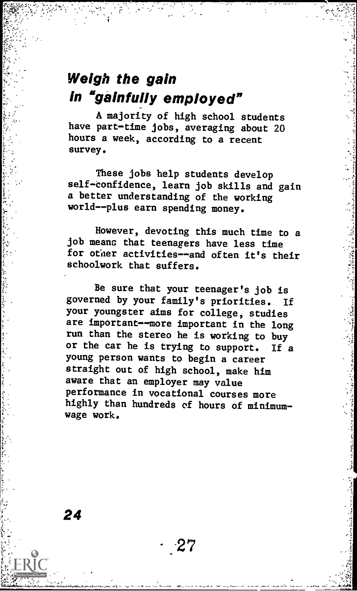# Weigh the gain In "gainfully employed"

A majority of high school students have part-time jobs, averaging about 20 hours a week, according to a recent survey.

These jobs help students develop self-confidence, learn job skills and gain a better understanding of the working world--plus earn spending money.

However, devoting this much time to a job means that teenagers have less time for other activities--and often it's their schoolwork that suffers.

Be sure that your teenager's job is governed by your family's priorities. If your youngster aims for college, studies are important--more important in the long run than the stereo he is working to buy or the car he is trying to support. If a young person wants to begin a career straight out of high school, make him aware that an employer may value performance in vocational courses more highly than hundreds of hours of minimumwage work.

27